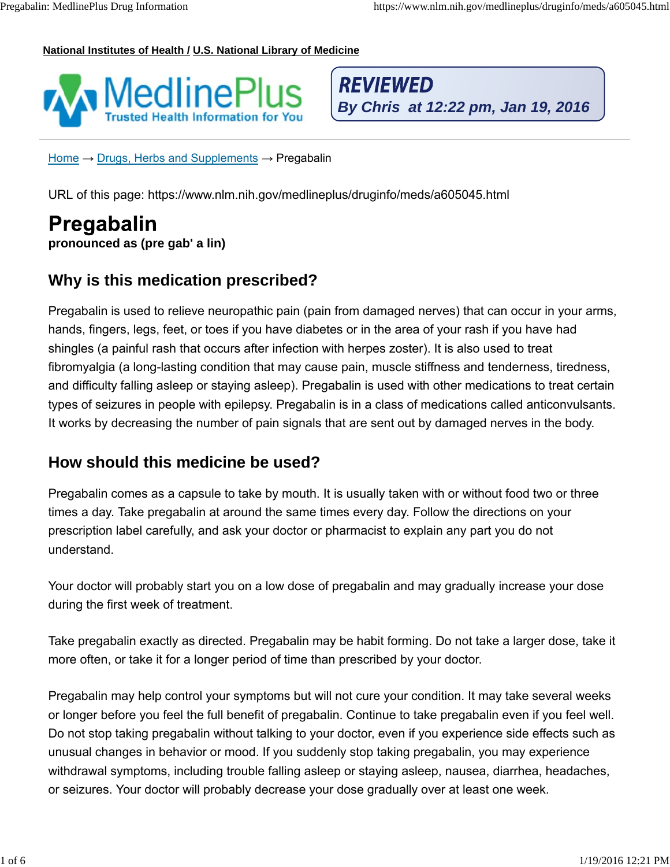#### **National Institutes of Health / U.S. National Library of Medicine**



**REVIEWED** 

Home  $\rightarrow$  Drugs, Herbs and Supplements  $\rightarrow$  Pregabalin

URL of this page: https://www.nlm.nih.gov/medlineplus/druginfo/meds/a605045.html

# **pronounced as (pre gab' a lin)**

#### **Why is this medication prescribed?**

Pregabalin is used to relieve neuropathic pain (pain from damaged nerves) that can occur in your arms, hands, fingers, legs, feet, or toes if you have diabetes or in the area of your rash if you have had shingles (a painful rash that occurs after infection with herpes zoster). It is also used to treat fibromyalgia (a long-lasting condition that may cause pain, muscle stiffness and tenderness, tiredness, and difficulty falling asleep or staying asleep). Pregabalin is used with other medications to treat certain types of seizures in people with epilepsy. Pregabalin is in a class of medications called anticonvulsants. It works by decreasing the number of pain signals that are sent out by damaged nerves in the body. 1 **Formal of Figure 11 of Figure 11** of Figure 11 of Figure 11 of Figure 11 of Figure 11 of Figure 11 of Figure 11 of Figure 11 of Figure 11 of Figure 11 of Figure 11 of Figure 11 of Figure 11 of Figure 11 of Figure 11 of

#### **How should this medicine be used?**

Pregabalin comes as a capsule to take by mouth. It is usually taken with or without food two or three times a day. Take pregabalin at around the same times every day. Follow the directions on your prescription label carefully, and ask your doctor or pharmacist to explain any part you do not understand.

Your doctor will probably start you on a low dose of pregabalin and may gradually increase your dose during the first week of treatment.

Take pregabalin exactly as directed. Pregabalin may be habit forming. Do not take a larger dose, take it more often, or take it for a longer period of time than prescribed by your doctor.

Pregabalin may help control your symptoms but will not cure your condition. It may take several weeks or longer before you feel the full benefit of pregabalin. Continue to take pregabalin even if you feel well. Do not stop taking pregabalin without talking to your doctor, even if you experience side effects such as unusual changes in behavior or mood. If you suddenly stop taking pregabalin, you may experience withdrawal symptoms, including trouble falling asleep or staying asleep, nausea, diarrhea, headaches, or seizures. Your doctor will probably decrease your dose gradually over at least one week.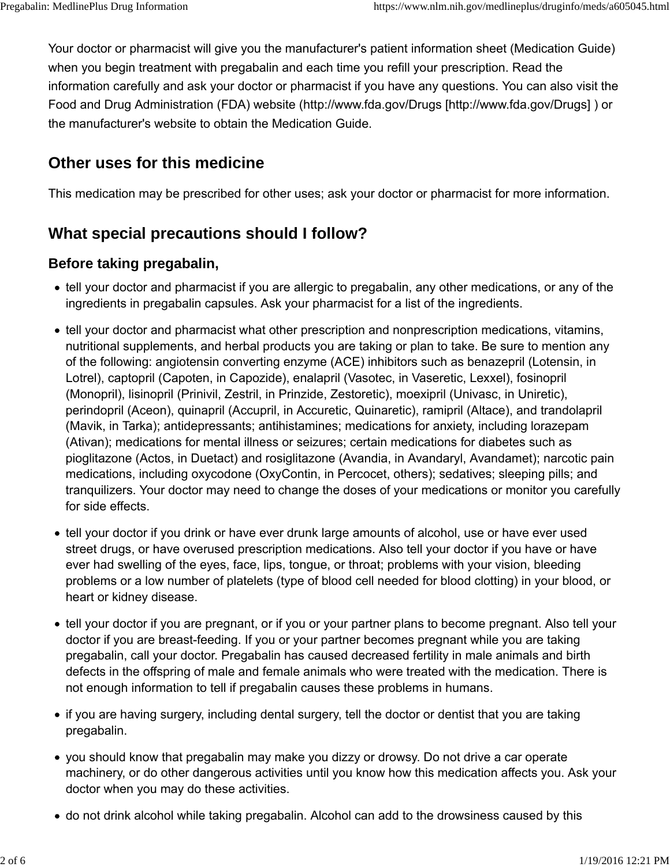Your doctor or pharmacist will give you the manufacturer's patient information sheet (Medication Guide) when you begin treatment with pregabalin and each time you refill your prescription. Read the information carefully and ask your doctor or pharmacist if you have any questions. You can also visit the Food and Drug Administration (FDA) website (http://www.fda.gov/Drugs [http://www.fda.gov/Drugs] ) or the manufacturer's website to obtain the Medication Guide.

# **Other uses for this medicine**

This medication may be prescribed for other uses; ask your doctor or pharmacist for more information.

# **What special precautions should I follow?**

#### **Before taking pregabalin,**

- tell your doctor and pharmacist if you are allergic to pregabalin, any other medications, or any of the ingredients in pregabalin capsules. Ask your pharmacist for a list of the ingredients.
- tell your doctor and pharmacist what other prescription and nonprescription medications, vitamins, nutritional supplements, and herbal products you are taking or plan to take. Be sure to mention any of the following: angiotensin converting enzyme (ACE) inhibitors such as benazepril (Lotensin, in Lotrel), captopril (Capoten, in Capozide), enalapril (Vasotec, in Vaseretic, Lexxel), fosinopril (Monopril), lisinopril (Prinivil, Zestril, in Prinzide, Zestoretic), moexipril (Univasc, in Uniretic), perindopril (Aceon), quinapril (Accupril, in Accuretic, Quinaretic), ramipril (Altace), and trandolapril (Mavik, in Tarka); antidepressants; antihistamines; medications for anxiety, including lorazepam (Ativan); medications for mental illness or seizures; certain medications for diabetes such as pioglitazone (Actos, in Duetact) and rosiglitazone (Avandia, in Avandaryl, Avandamet); narcotic pain medications, including oxycodone (OxyContin, in Percocet, others); sedatives; sleeping pills; and tranquilizers. Your doctor may need to change the doses of your medications or monitor you carefully for side effects.
- tell your doctor if you drink or have ever drunk large amounts of alcohol, use or have ever used street drugs, or have overused prescription medications. Also tell your doctor if you have or have ever had swelling of the eyes, face, lips, tongue, or throat; problems with your vision, bleeding problems or a low number of platelets (type of blood cell needed for blood clotting) in your blood, or heart or kidney disease.
- tell your doctor if you are pregnant, or if you or your partner plans to become pregnant. Also tell your doctor if you are breast-feeding. If you or your partner becomes pregnant while you are taking pregabalin, call your doctor. Pregabalin has caused decreased fertility in male animals and birth defects in the offspring of male and female animals who were treated with the medication. There is not enough information to tell if pregabalin causes these problems in humans.
- if you are having surgery, including dental surgery, tell the doctor or dentist that you are taking pregabalin.
- you should know that pregabalin may make you dizzy or drowsy. Do not drive a car operate machinery, or do other dangerous activities until you know how this medication affects you. Ask your doctor when you may do these activities.
- do not drink alcohol while taking pregabalin. Alcohol can add to the drowsiness caused by this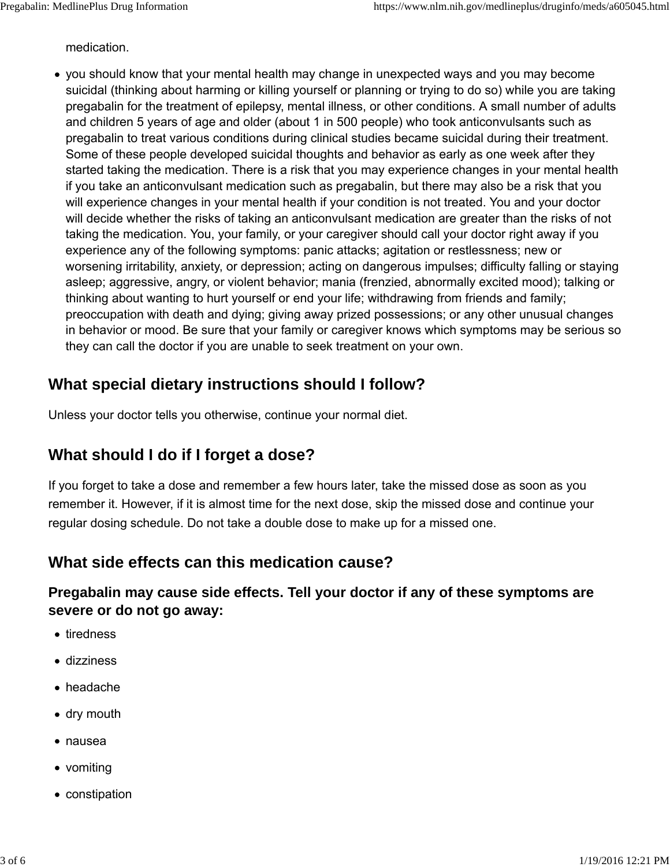medication.

you should know that your mental health may change in unexpected ways and you may become suicidal (thinking about harming or killing yourself or planning or trying to do so) while you are taking pregabalin for the treatment of epilepsy, mental illness, or other conditions. A small number of adults and children 5 years of age and older (about 1 in 500 people) who took anticonvulsants such as pregabalin to treat various conditions during clinical studies became suicidal during their treatment. Some of these people developed suicidal thoughts and behavior as early as one week after they started taking the medication. There is a risk that you may experience changes in your mental health if you take an anticonvulsant medication such as pregabalin, but there may also be a risk that you will experience changes in your mental health if your condition is not treated. You and your doctor will decide whether the risks of taking an anticonvulsant medication are greater than the risks of not taking the medication. You, your family, or your caregiver should call your doctor right away if you experience any of the following symptoms: panic attacks; agitation or restlessness; new or worsening irritability, anxiety, or depression; acting on dangerous impulses; difficulty falling or staying asleep; aggressive, angry, or violent behavior; mania (frenzied, abnormally excited mood); talking or thinking about wanting to hurt yourself or end your life; withdrawing from friends and family; preoccupation with death and dying; giving away prized possessions; or any other unusual changes in behavior or mood. Be sure that your family or caregiver knows which symptoms may be serious so they can call the doctor if you are unable to seek treatment on your own.

## **What special dietary instructions should I follow?**

Unless your doctor tells you otherwise, continue your normal diet.

## **What should I do if I forget a dose?**

If you forget to take a dose and remember a few hours later, take the missed dose as soon as you remember it. However, if it is almost time for the next dose, skip the missed dose and continue your regular dosing schedule. Do not take a double dose to make up for a missed one.

#### **What side effects can this medication cause?**

#### **Pregabalin may cause side effects. Tell your doctor if any of these symptoms are severe or do not go away:**

- tiredness
- dizziness
- headache
- dry mouth
- nausea
- vomiting
- constipation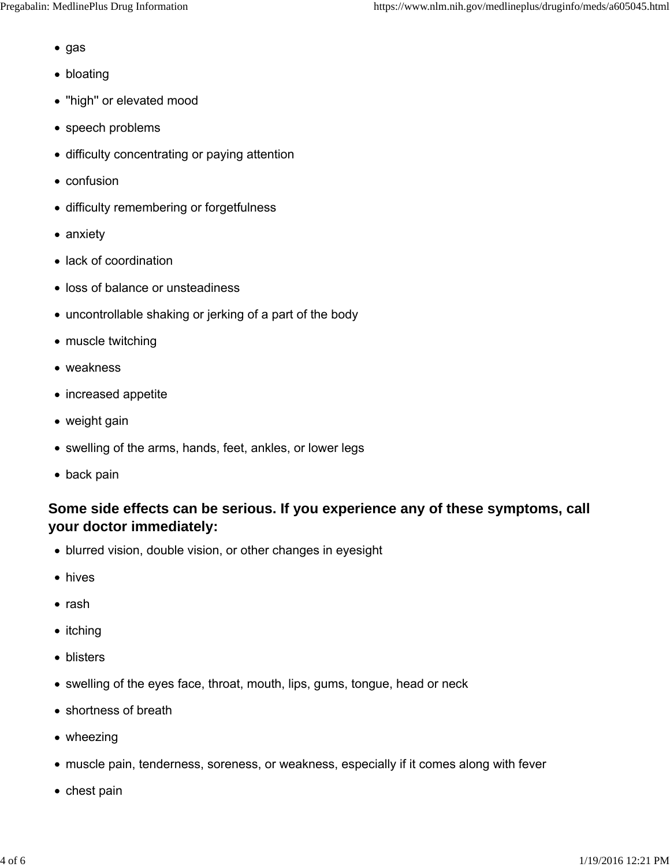- gas
- bloating
- "high" or elevated mood
- speech problems
- difficulty concentrating or paying attention
- confusion
- difficulty remembering or forgetfulness
- anxiety
- lack of coordination
- loss of balance or unsteadiness
- uncontrollable shaking or jerking of a part of the body
- muscle twitching
- weakness
- increased appetite
- weight gain
- swelling of the arms, hands, feet, ankles, or lower legs
- back pain

#### **Some side effects can be serious. If you experience any of these symptoms, call your doctor immediately:**

- blurred vision, double vision, or other changes in eyesight
- hives
- rash
- itching
- blisters
- swelling of the eyes face, throat, mouth, lips, gums, tongue, head or neck
- shortness of breath
- wheezing
- muscle pain, tenderness, soreness, or weakness, especially if it comes along with fever
- chest pain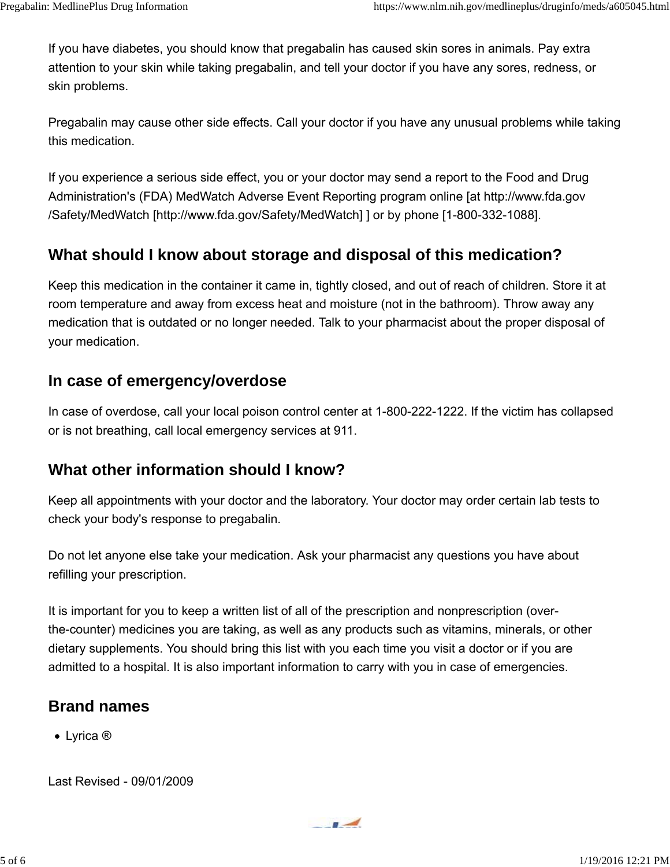If you have diabetes, you should know that pregabalin has caused skin sores in animals. Pay extra attention to your skin while taking pregabalin, and tell your doctor if you have any sores, redness, or skin problems.

Pregabalin may cause other side effects. Call your doctor if you have any unusual problems while taking this medication.

If you experience a serious side effect, you or your doctor may send a report to the Food and Drug Administration's (FDA) MedWatch Adverse Event Reporting program online [at http://www.fda.gov /Safety/MedWatch [http://www.fda.gov/Safety/MedWatch] ] or by phone [1-800-332-1088].

## **What should I know about storage and disposal of this medication?**

Keep this medication in the container it came in, tightly closed, and out of reach of children. Store it at room temperature and away from excess heat and moisture (not in the bathroom). Throw away any medication that is outdated or no longer needed. Talk to your pharmacist about the proper disposal of your medication.

#### **In case of emergency/overdose**

In case of overdose, call your local poison control center at 1-800-222-1222. If the victim has collapsed or is not breathing, call local emergency services at 911.

#### **What other information should I know?**

Keep all appointments with your doctor and the laboratory. Your doctor may order certain lab tests to check your body's response to pregabalin.

Do not let anyone else take your medication. Ask your pharmacist any questions you have about refilling your prescription.

It is important for you to keep a written list of all of the prescription and nonprescription (overthe-counter) medicines you are taking, as well as any products such as vitamins, minerals, or other dietary supplements. You should bring this list with you each time you visit a doctor or if you are admitted to a hospital. It is also important information to carry with you in case of emergencies.

## **Brand names**

Lyrica ®

Last Revised - 09/01/2009